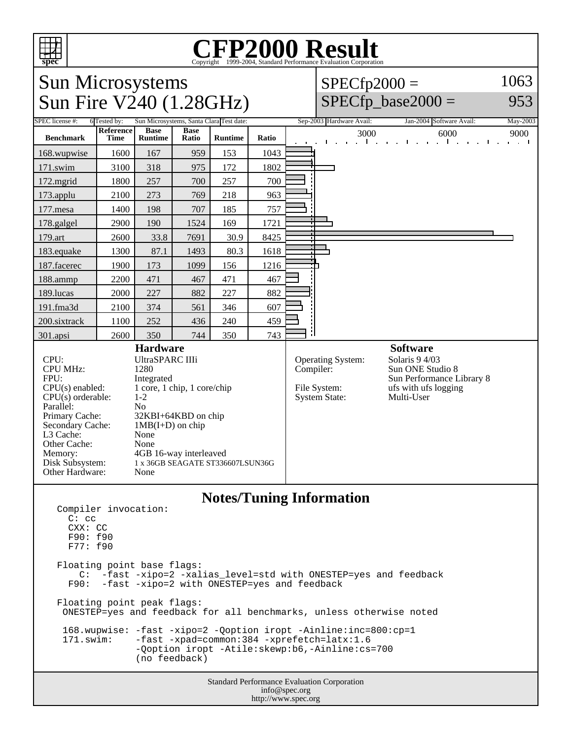

## Copyright ©1999-2004, Standard Performance Evaluation Corporation

## Sun Microsystems Sun Fire V240 (1.28GHz)  $SPECfp2000 =$  $SPECfp\_base2000 =$ 1063 953 SPEC license #: 6 Tested by: Sun Microsystems, Santa Clara Test date: Sep-2003 Hardware Avail: Jan-2004 Software Avail: May-2003 **Benchmark Reference Time Base Runtime Base Ratio Runtime Ratio** 3000 6000 9000 168.wupwise 1600 167 959 153 1043 171.swim | 3100 | 318 | 975 | 172 | 1802 172.mgrid | 1800 | 257 | 700 | 257 | 700 173.applu | 2100 | 273 | 769 | 218 | 963 177.mesa | 1400 | 198 | 707 | 185 | 757 178.galgel | 2900 | 190 | 1524 | 169 | 1721 179.art | 2600 | 33.8 | 7691 | 30.9 | 8425 183.equake 1300 87.1 1493 80.3 1618 187.facerec | 1900 | 173 | 1099 | 156 | 1216 188.ammp | 2200 | 471 | 467 | 471 | 467 189.lucas | 2000 | 227 | 882 | 227 | 882 191.fma3d 2100 374 561 346 607 200.sixtrack 1100 252 436 240 459 301.apsi 2600 350 744 350 743 **Hardware** CPU: UltraSPARC IIIi<br>CPU MHz: 1280 CPU MHz: FPU: Integrated  $CPU(s)$  enabled:  $1$  core, 1 chip, 1 core/chip<br>CPU(s) orderable:  $1-2$  $CPU(s)$  orderable: Parallel: No<br>Primary Cache: 32F 32KBI+64KBD on chip Secondary Cache:  $1MB(I+D)$  on chip<br>
I 3 Cache: None L3 Cache: None<br>Other Cache: None Other Cache: Memory: 4GB 16-way interleaved Disk Subsystem: 1 x 36GB SEAGATE ST336607LSUN36G Other Hardware: None **Software** Operating System: Solaris 9 4/03<br>Compiler: Sun ONE Stud Sun ONE Studio 8 Sun Performance Library 8 File System: The System State: The Multi-User System State: System State: **Notes/Tuning Information** Compiler invocation:

 C: cc CXX: CC F90: f90 F77: f90 Floating point base flags: C: -fast -xipo=2 -xalias\_level=std with ONESTEP=yes and feedback F90: -fast -xipo=2 with ONESTEP=yes and feedback Floating point peak flags: ONESTEP=yes and feedback for all benchmarks, unless otherwise noted 168.wupwise: -fast -xipo=2 -Qoption iropt -Ainline:inc=800:cp=1<br>171.swim: -fast -xpad=common:384 -xprefetch=latx:1.6 -fast -xpad=common:384 -xprefetch=latx:1.6 -Qoption iropt -Atile:skewp:b6,-Ainline:cs=700 (no feedback)

Standard Performance Evaluation Corporation info@spec.org http://www.spec.org